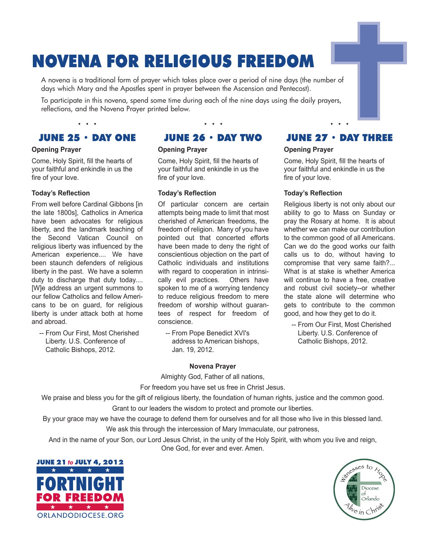# **NOVENA FOR RELIGIOUS FREEDOM**

A novena is a traditional form of prayer which takes place over a period of nine days (the number of days which Mary and the Apostles spent in prayer between the Ascension and Pentecost).

To participate in this novena, spend some time during each of the nine days using the daily prayers, reflections, and the Novena Prayer printed below.

# **JUNE 25 · DAY ONE**

• • •

#### **Opening Prayer**

Come, Holy Spirit, fill the hearts of your faithful and enkindle in us the fire of your love.

#### **Today's Reflection**

From well before Cardinal Gibbons [in the late 1800s], Catholics in America have been advocates for religious liberty, and the landmark teaching of the Second Vatican Council on religious liberty was influenced by the American experience.... We have been staunch defenders of religious liberty in the past. We have a solemn duty to discharge that duty today.... [W]e address an urgent summons to our fellow Catholics and fellow Americans to be on guard, for religious liberty is under attack both at home and abroad.

-- From Our First, Most Cherished Liberty. U.S. Conference of Catholic Bishops, 2012.

## **JUNE 26 · DAY TWO**

• • •

## **Opening Prayer**

Come, Holy Spirit, fill the hearts of your faithful and enkindle in us the fire of your love.

## **Today's Reflection**

Of particular concern are certain attempts being made to limit that most cherished of American freedoms, the freedom of religion. Many of you have pointed out that concerted efforts have been made to deny the right of conscientious objection on the part of Catholic individuals and institutions with regard to cooperation in intrinsically evil practices. Others have spoken to me of a worrying tendency to reduce religious freedom to mere freedom of worship without guarantees of respect for freedom of conscience.

-- From Pope Benedict XVI's address to American bishops, Jan. 19, 2012.

#### **Novena Prayer**

Almighty God, Father of all nations,

For freedom you have set us free in Christ Jesus.

We praise and bless you for the gift of religious liberty, the foundation of human rights, justice and the common good. Grant to our leaders the wisdom to protect and promote our liberties.

By your grace may we have the courage to defend them for ourselves and for all those who live in this blessed land. We ask this through the intercession of Mary Immaculate, our patroness,

And in the name of your Son, our Lord Jesus Christ, in the unity of the Holy Spirit, with whom you live and reign, One God, for ever and ever. Amen.





## JUNE  $27 \cdot$  DAY THREE

• • •

## **Opening Prayer**

Come, Holy Spirit, fill the hearts of your faithful and enkindle in us the fire of your love.

## **Today's Reflection**

Religious liberty is not only about our ability to go to Mass on Sunday or pray the Rosary at home. It is about whether we can make our contribution to the common good of all Americans. Can we do the good works our faith calls us to do, without having to compromise that very same faith?... What is at stake is whether America will continue to have a free, creative and robust civil society--or whether the state alone will determine who gets to contribute to the common good, and how they get to do it.

-- From Our First, Most Cherished Liberty. U.S. Conference of Catholic Bishops, 2012.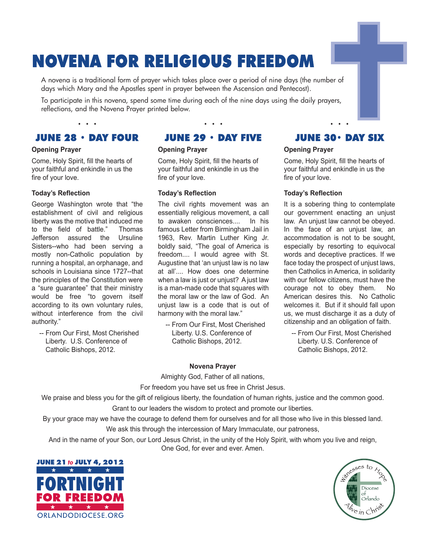# **NOVENA FOR RELIGIOUS FREEDOM**

A novena is a traditional form of prayer which takes place over a period of nine days (the number of days which Mary and the Apostles spent in prayer between the Ascension and Pentecost).

To participate in this novena, spend some time during each of the nine days using the daily prayers, reflections, and the Novena Prayer printed below.

# **JUNE 28 · DAY FOUR**

• • •

## **Opening Prayer**

Come, Holy Spirit, fill the hearts of your faithful and enkindle in us the fire of your love.

#### **Today's Reflection**

George Washington wrote that "the establishment of civil and religious liberty was the motive that induced me to the field of battle." Thomas Jefferson assured the Ursuline Sisters--who had been serving a mostly non-Catholic population by running a hospital, an orphanage, and schools in Louisiana since 1727--that the principles of the Constitution were a "sure guarantee" that their ministry would be free "to govern itself according to its own voluntary rules, without interference from the civil authority."

-- From Our First, Most Cherished Liberty. U.S. Conference of Catholic Bishops, 2012.

## **JUNE 29 · DAY FIVE**

• • •

## **Opening Prayer**

Come, Holy Spirit, fill the hearts of your faithful and enkindle in us the fire of your love.

## **Today's Reflection**

The civil rights movement was an essentially religious movement, a call to awaken consciences.... In his famous Letter from Birmingham Jail in 1963, Rev. Martin Luther King Jr. boldly said, "The goal of America is freedom.... I would agree with St. Augustine that 'an unjust law is no law at all'.... How does one determine when a law is just or unjust? A just law is a man-made code that squares with the moral law or the law of God. An unjust law is a code that is out of harmony with the moral law."

-- From Our First, Most Cherished Liberty. U.S. Conference of Catholic Bishops, 2012.

## **JUNE 30 · DAY SIX**

• • •

## **Opening Prayer**

Come, Holy Spirit, fill the hearts of your faithful and enkindle in us the fire of your love.

## **Today's Reflection**

It is a sobering thing to contemplate our government enacting an unjust law. An unjust law cannot be obeyed. In the face of an unjust law, an accommodation is not to be sought, especially by resorting to equivocal words and deceptive practices. If we face today the prospect of unjust laws, then Catholics in America, in solidarity with our fellow citizens, must have the courage not to obey them. No American desires this. No Catholic welcomes it. But if it should fall upon us, we must discharge it as a duty of citizenship and an obligation of faith.

-- From Our First, Most Cherished Liberty. U.S. Conference of Catholic Bishops, 2012.

#### **Novena Prayer**

Almighty God, Father of all nations,

For freedom you have set us free in Christ Jesus.

We praise and bless you for the gift of religious liberty, the foundation of human rights, justice and the common good. Grant to our leaders the wisdom to protect and promote our liberties.

By your grace may we have the courage to defend them for ourselves and for all those who live in this blessed land. We ask this through the intercession of Mary Immaculate, our patroness,

And in the name of your Son, our Lord Jesus Christ, in the unity of the Holy Spirit, with whom you live and reign, One God, for ever and ever. Amen.